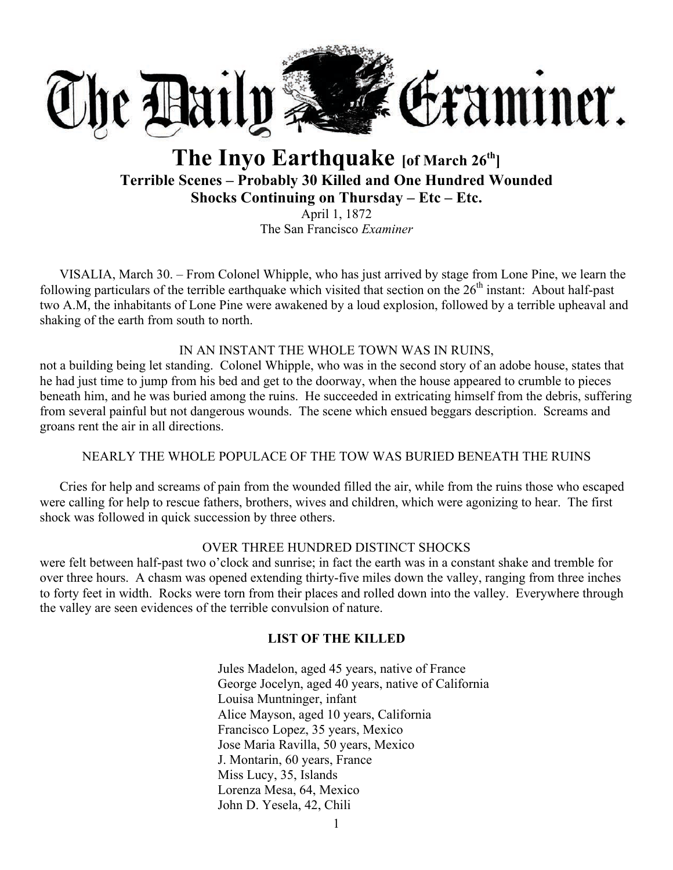

# **The Inyo Earthquake [of March 26th] Terrible Scenes – Probably 30 Killed and One Hundred Wounded Shocks Continuing on Thursday – Etc – Etc.**

April 1, 1872 The San Francisco *Examiner*

VISALIA, March 30. – From Colonel Whipple, who has just arrived by stage from Lone Pine, we learn the following particulars of the terrible earthquake which visited that section on the  $26<sup>th</sup>$  instant: About half-past two A.M, the inhabitants of Lone Pine were awakened by a loud explosion, followed by a terrible upheaval and shaking of the earth from south to north.

# IN AN INSTANT THE WHOLE TOWN WAS IN RUINS,

not a building being let standing. Colonel Whipple, who was in the second story of an adobe house, states that he had just time to jump from his bed and get to the doorway, when the house appeared to crumble to pieces beneath him, and he was buried among the ruins. He succeeded in extricating himself from the debris, suffering from several painful but not dangerous wounds. The scene which ensued beggars description. Screams and groans rent the air in all directions.

# NEARLY THE WHOLE POPULACE OF THE TOW WAS BURIED BENEATH THE RUINS

Cries for help and screams of pain from the wounded filled the air, while from the ruins those who escaped were calling for help to rescue fathers, brothers, wives and children, which were agonizing to hear. The first shock was followed in quick succession by three others.

# OVER THREE HUNDRED DISTINCT SHOCKS

were felt between half-past two o'clock and sunrise; in fact the earth was in a constant shake and tremble for over three hours. A chasm was opened extending thirty-five miles down the valley, ranging from three inches to forty feet in width. Rocks were torn from their places and rolled down into the valley. Everywhere through the valley are seen evidences of the terrible convulsion of nature.

# **LIST OF THE KILLED**

Jules Madelon, aged 45 years, native of France George Jocelyn, aged 40 years, native of California Louisa Muntninger, infant Alice Mayson, aged 10 years, California Francisco Lopez, 35 years, Mexico Jose Maria Ravilla, 50 years, Mexico J. Montarin, 60 years, France Miss Lucy, 35, Islands Lorenza Mesa, 64, Mexico John D. Yesela, 42, Chili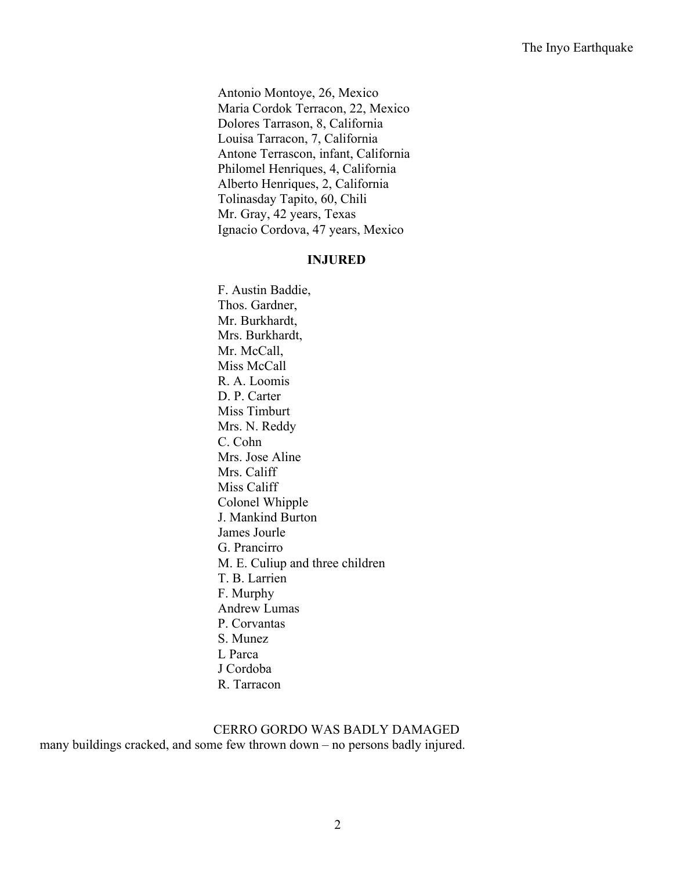Antonio Montoye, 26, Mexico Maria Cordok Terracon, 22, Mexico Dolores Tarrason, 8, California Louisa Tarracon, 7, California Antone Terrascon, infant, California Philomel Henriques, 4, California Alberto Henriques, 2, California Tolinasday Tapito, 60, Chili Mr. Gray, 42 years, Texas Ignacio Cordova, 47 years, Mexico

#### **INJURED**

F. Austin Baddie, Thos. Gardner, Mr. Burkhardt, Mrs. Burkhardt, Mr. McCall, Miss McCall R. A. Loomis D. P. Carter Miss Timburt Mrs. N. Reddy C. Cohn Mrs. Jose Aline Mrs. Califf Miss Califf Colonel Whipple J. Mankind Burton James Jourle G. Prancirro M. E. Culiup and three children T. B. Larrien F. Murphy Andrew Lumas P. Corvantas S. Munez L Parca J Cordoba R. Tarracon

CERRO GORDO WAS BADLY DAMAGED many buildings cracked, and some few thrown down – no persons badly injured.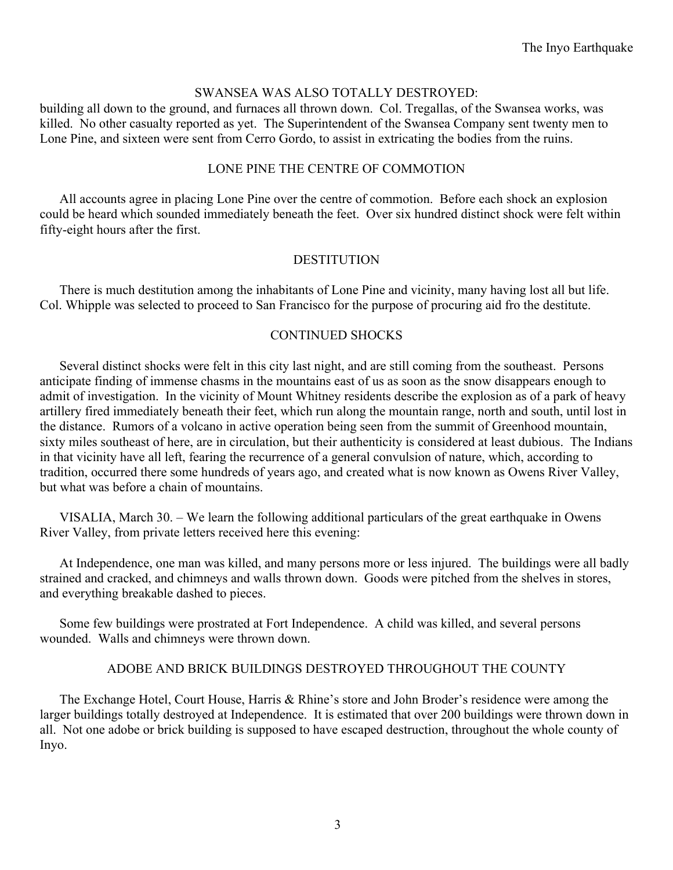# SWANSEA WAS ALSO TOTALLY DESTROYED:

building all down to the ground, and furnaces all thrown down. Col. Tregallas, of the Swansea works, was killed. No other casualty reported as yet. The Superintendent of the Swansea Company sent twenty men to Lone Pine, and sixteen were sent from Cerro Gordo, to assist in extricating the bodies from the ruins.

# LONE PINE THE CENTRE OF COMMOTION

All accounts agree in placing Lone Pine over the centre of commotion. Before each shock an explosion could be heard which sounded immediately beneath the feet. Over six hundred distinct shock were felt within fifty-eight hours after the first.

# DESTITUTION

There is much destitution among the inhabitants of Lone Pine and vicinity, many having lost all but life. Col. Whipple was selected to proceed to San Francisco for the purpose of procuring aid fro the destitute.

# CONTINUED SHOCKS

Several distinct shocks were felt in this city last night, and are still coming from the southeast. Persons anticipate finding of immense chasms in the mountains east of us as soon as the snow disappears enough to admit of investigation. In the vicinity of Mount Whitney residents describe the explosion as of a park of heavy artillery fired immediately beneath their feet, which run along the mountain range, north and south, until lost in the distance. Rumors of a volcano in active operation being seen from the summit of Greenhood mountain, sixty miles southeast of here, are in circulation, but their authenticity is considered at least dubious. The Indians in that vicinity have all left, fearing the recurrence of a general convulsion of nature, which, according to tradition, occurred there some hundreds of years ago, and created what is now known as Owens River Valley, but what was before a chain of mountains.

VISALIA, March 30. – We learn the following additional particulars of the great earthquake in Owens River Valley, from private letters received here this evening:

At Independence, one man was killed, and many persons more or less injured. The buildings were all badly strained and cracked, and chimneys and walls thrown down. Goods were pitched from the shelves in stores, and everything breakable dashed to pieces.

Some few buildings were prostrated at Fort Independence. A child was killed, and several persons wounded. Walls and chimneys were thrown down.

# ADOBE AND BRICK BUILDINGS DESTROYED THROUGHOUT THE COUNTY

The Exchange Hotel, Court House, Harris & Rhine's store and John Broder's residence were among the larger buildings totally destroyed at Independence. It is estimated that over 200 buildings were thrown down in all. Not one adobe or brick building is supposed to have escaped destruction, throughout the whole county of Inyo.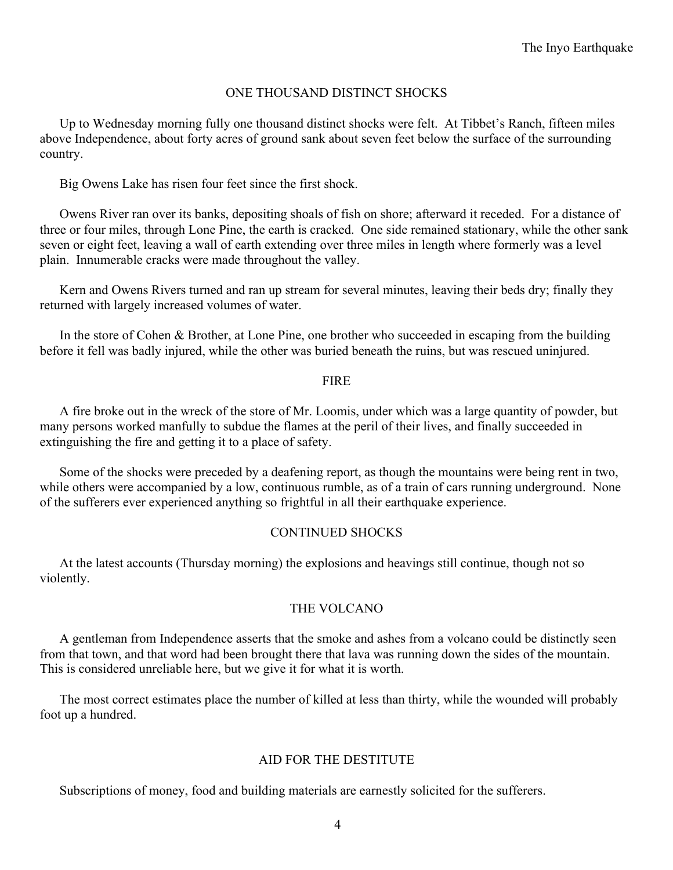# ONE THOUSAND DISTINCT SHOCKS

Up to Wednesday morning fully one thousand distinct shocks were felt. At Tibbet's Ranch, fifteen miles above Independence, about forty acres of ground sank about seven feet below the surface of the surrounding country.

Big Owens Lake has risen four feet since the first shock.

Owens River ran over its banks, depositing shoals of fish on shore; afterward it receded. For a distance of three or four miles, through Lone Pine, the earth is cracked. One side remained stationary, while the other sank seven or eight feet, leaving a wall of earth extending over three miles in length where formerly was a level plain. Innumerable cracks were made throughout the valley.

Kern and Owens Rivers turned and ran up stream for several minutes, leaving their beds dry; finally they returned with largely increased volumes of water.

In the store of Cohen & Brother, at Lone Pine, one brother who succeeded in escaping from the building before it fell was badly injured, while the other was buried beneath the ruins, but was rescued uninjured.

#### FIRE

A fire broke out in the wreck of the store of Mr. Loomis, under which was a large quantity of powder, but many persons worked manfully to subdue the flames at the peril of their lives, and finally succeeded in extinguishing the fire and getting it to a place of safety.

Some of the shocks were preceded by a deafening report, as though the mountains were being rent in two, while others were accompanied by a low, continuous rumble, as of a train of cars running underground. None of the sufferers ever experienced anything so frightful in all their earthquake experience.

# CONTINUED SHOCKS

At the latest accounts (Thursday morning) the explosions and heavings still continue, though not so violently.

# THE VOLCANO

A gentleman from Independence asserts that the smoke and ashes from a volcano could be distinctly seen from that town, and that word had been brought there that lava was running down the sides of the mountain. This is considered unreliable here, but we give it for what it is worth.

The most correct estimates place the number of killed at less than thirty, while the wounded will probably foot up a hundred.

# AID FOR THE DESTITUTE

Subscriptions of money, food and building materials are earnestly solicited for the sufferers.